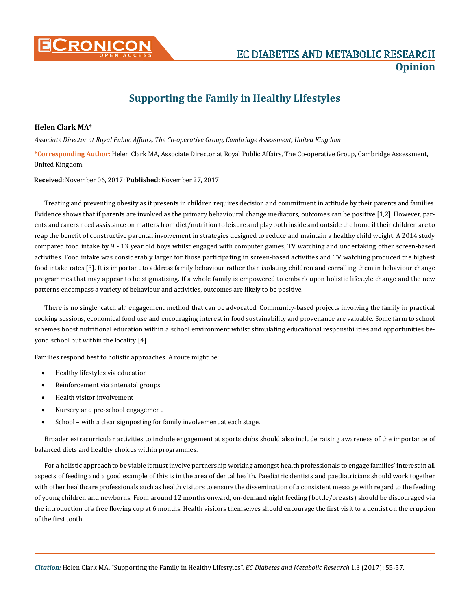

## **Supporting the Family in Healthy Lifestyles**

## **Helen Clark MA\***

*Associate Director at Royal Public Affairs, The Co-operative Group, Cambridge Assessment, United Kingdom*

**\*Corresponding Author:** Helen Clark MA, Associate Director at Royal Public Affairs, The Co-operative Group, Cambridge Assessment, United Kingdom.

**Received:** November 06, 2017; **Published:** November 27, 2017

Treating and preventing obesity as it presents in children requires decision and commitment in attitude by their parents and families. Evidence shows that if parents are involved as the primary behavioural change mediators, outcomes can be positive [1,2]. However, parents and carers need assistance on matters from diet/nutrition to leisure and play both inside and outside the home if their children are to reap the benefit of constructive parental involvement in strategies designed to reduce and maintain a healthy child weight. A 2014 study compared food intake by 9 - 13 year old boys whilst engaged with computer games, TV watching and undertaking other screen-based activities. Food intake was considerably larger for those participating in screen-based activities and TV watching produced the highest food intake rates [3]. It is important to address family behaviour rather than isolating children and corralling them in behaviour change programmes that may appear to be stigmatising. If a whole family is empowered to embark upon holistic lifestyle change and the new patterns encompass a variety of behaviour and activities, outcomes are likely to be positive.

There is no single 'catch all' engagement method that can be advocated. Community-based projects involving the family in practical cooking sessions, economical food use and encouraging interest in food sustainability and provenance are valuable. Some farm to school schemes boost nutritional education within a school environment whilst stimulating educational responsibilities and opportunities beyond school but within the locality [4].

Families respond best to holistic approaches. A route might be:

- Healthy lifestyles via education
- Reinforcement via antenatal groups
- Health visitor involvement
- Nursery and pre-school engagement
- School with a clear signposting for family involvement at each stage.

Broader extracurricular activities to include engagement at sports clubs should also include raising awareness of the importance of balanced diets and healthy choices within programmes.

For a holistic approach to be viable it must involve partnership working amongst health professionals to engage families' interest in all aspects of feeding and a good example of this is in the area of dental health. Paediatric dentists and paediatricians should work together with other healthcare professionals such as health visitors to ensure the dissemination of a consistent message with regard to the feeding of young children and newborns. From around 12 months onward, on-demand night feeding (bottle/breasts) should be discouraged via the introduction of a free flowing cup at 6 months. Health visitors themselves should encourage the first visit to a dentist on the eruption of the first tooth.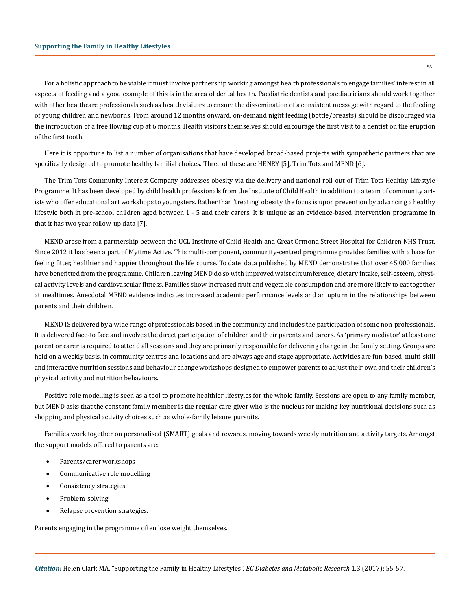of the first tooth.

For a holistic approach to be viable it must involve partnership working amongst health professionals to engage families' interest in all aspects of feeding and a good example of this is in the area of dental health. Paediatric dentists and paediatricians should work together with other healthcare professionals such as health visitors to ensure the dissemination of a consistent message with regard to the feeding of young children and newborns. From around 12 months onward, on-demand night feeding (bottle/breasts) should be discouraged via the introduction of a free flowing cup at 6 months. Health visitors themselves should encourage the first visit to a dentist on the eruption

56

Here it is opportune to list a number of organisations that have developed broad-based projects with sympathetic partners that are specifically designed to promote healthy familial choices. Three of these are HENRY [5], Trim Tots and MEND [6].

The Trim Tots Community Interest Company addresses obesity via the delivery and national roll-out of Trim Tots Healthy Lifestyle Programme. It has been developed by child health professionals from the Institute of Child Health in addition to a team of community artists who offer educational art workshops to youngsters. Rather than 'treating' obesity, the focus is upon prevention by advancing a healthy lifestyle both in pre-school children aged between 1 - 5 and their carers. It is unique as an evidence-based intervention programme in that it has two year follow-up data [7].

MEND arose from a partnership between the UCL Institute of Child Health and Great Ormond Street Hospital for Children NHS Trust. Since 2012 it has been a part of Mytime Active. This multi-component, community-centred programme provides families with a base for feeling fitter, healthier and happier throughout the life course. To date, data published by MEND demonstrates that over 45,000 families have benefitted from the programme. Children leaving MEND do so with improved waist circumference, dietary intake, self-esteem, physical activity levels and cardiovascular fitness. Families show increased fruit and vegetable consumption and are more likely to eat together at mealtimes. Anecdotal MEND evidence indicates increased academic performance levels and an upturn in the relationships between parents and their children.

MEND IS delivered by a wide range of professionals based in the community and includes the participation of some non-professionals. It is delivered face-to face and involves the direct participation of children and their parents and carers. As 'primary mediator' at least one parent or carer is required to attend all sessions and they are primarily responsible for delivering change in the family setting. Groups are held on a weekly basis, in community centres and locations and are always age and stage appropriate. Activities are fun-based, multi-skill and interactive nutrition sessions and behaviour change workshops designed to empower parents to adjust their own and their children's physical activity and nutrition behaviours.

Positive role modelling is seen as a tool to promote healthier lifestyles for the whole family. Sessions are open to any family member, but MEND asks that the constant family member is the regular care-giver who is the nucleus for making key nutritional decisions such as shopping and physical activity choices such as whole-family leisure pursuits.

Families work together on personalised (SMART) goals and rewards, moving towards weekly nutrition and activity targets. Amongst the support models offered to parents are:

- Parents/carer workshops
- Communicative role modelling
- • Consistency strategies
- Problem-solving
- • Relapse prevention strategies.

Parents engaging in the programme often lose weight themselves.